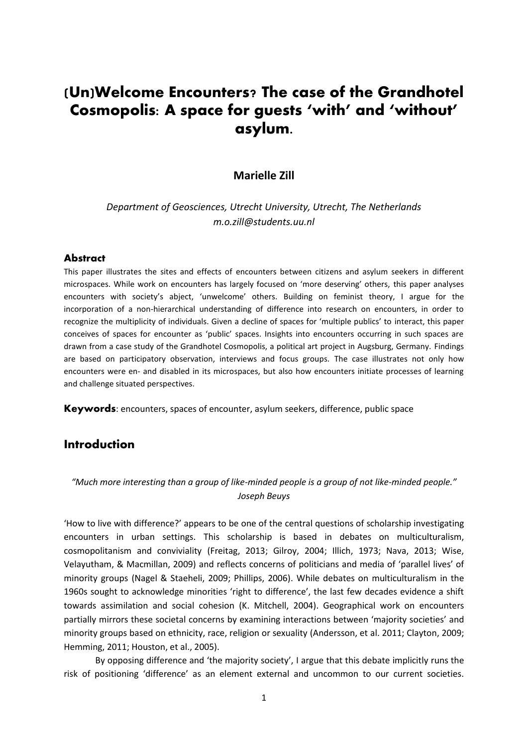# **(Un)Welcome Encounters? The case of the Grandhotel Cosmopolis: A space for guests 'with' and 'without' asylum.**

### **Marielle Zill**

### *Department of Geosciences, Utrecht University, Utrecht, The Netherlands m.o.zill@students.uu.nl*

#### **Abstract**

This paper illustrates the sites and effects of encounters between citizens and asylum seekers in different microspaces. While work on encounters has largely focused on 'more deserving' others, this paper analyses encounters with society's abject, 'unwelcome' others. Building on feminist theory, I argue for the incorporation of a non-hierarchical understanding of difference into research on encounters, in order to recognize the multiplicity of individuals. Given a decline of spaces for 'multiple publics' to interact, this paper conceives of spaces for encounter as 'public' spaces. Insights into encounters occurring in such spaces are drawn from a case study of the Grandhotel Cosmopolis, a political art project in Augsburg, Germany. Findings are based on participatory observation, interviews and focus groups. The case illustrates not only how encounters were en- and disabled in its microspaces, but also how encounters initiate processes of learning and challenge situated perspectives.

**Keywords**: encounters, spaces of encounter, asylum seekers, difference, public space

## **Introduction**

### *"Much more interesting than a group of like-minded people is a group of not like-minded people." Joseph Beuys*

'How to live with difference?' appears to be one of the central questions of scholarship investigating encounters in urban settings. This scholarship is based in debates on multiculturalism, cosmopolitanism and conviviality (Freitag, 2013; Gilroy, 2004; Illich, 1973; Nava, 2013; Wise, Velayutham, & Macmillan, 2009) and reflects concerns of politicians and media of 'parallel lives' of minority groups (Nagel & Staeheli, 2009; Phillips, 2006). While debates on multiculturalism in the 1960s sought to acknowledge minorities 'right to difference', the last few decades evidence a shift towards assimilation and social cohesion (K. Mitchell, 2004). Geographical work on encounters partially mirrors these societal concerns by examining interactions between 'majority societies' and minority groups based on ethnicity, race, religion or sexuality (Andersson, et al. 2011; Clayton, 2009; Hemming, 2011; Houston, et al., 2005).

By opposing difference and 'the majority society', I argue that this debate implicitly runs the risk of positioning 'difference' as an element external and uncommon to our current societies.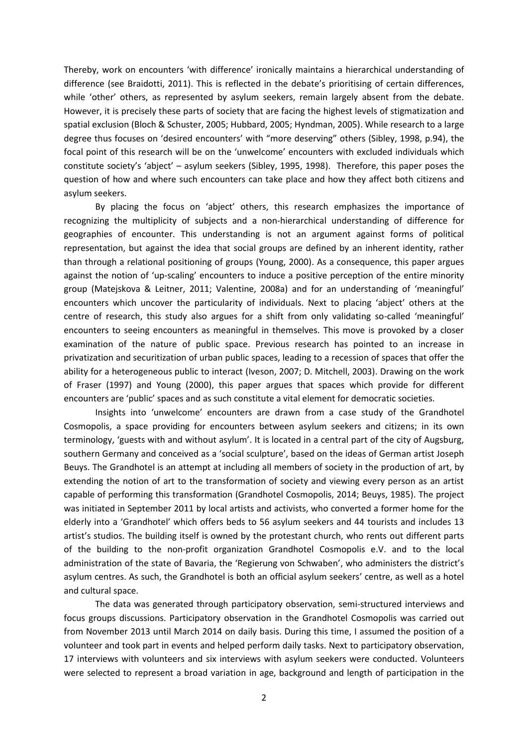Thereby, work on encounters 'with difference' ironically maintains a hierarchical understanding of difference (see Braidotti, 2011). This is reflected in the debate's prioritising of certain differences, while 'other' others, as represented by asylum seekers, remain largely absent from the debate. However, it is precisely these parts of society that are facing the highest levels of stigmatization and spatial exclusion (Bloch & Schuster, 2005; Hubbard, 2005; Hyndman, 2005). While research to a large degree thus focuses on 'desired encounters' with "more deserving" others (Sibley, 1998, p.94), the focal point of this research will be on the 'unwelcome' encounters with excluded individuals which constitute society's 'abject' – asylum seekers (Sibley, 1995, 1998). Therefore, this paper poses the question of how and where such encounters can take place and how they affect both citizens and asylum seekers.

By placing the focus on 'abject' others, this research emphasizes the importance of recognizing the multiplicity of subjects and a non-hierarchical understanding of difference for geographies of encounter. This understanding is not an argument against forms of political representation, but against the idea that social groups are defined by an inherent identity, rather than through a relational positioning of groups (Young, 2000). As a consequence, this paper argues against the notion of 'up-scaling' encounters to induce a positive perception of the entire minority group (Matejskova & Leitner, 2011; Valentine, 2008a) and for an understanding of 'meaningful' encounters which uncover the particularity of individuals. Next to placing 'abject' others at the centre of research, this study also argues for a shift from only validating so-called 'meaningful' encounters to seeing encounters as meaningful in themselves. This move is provoked by a closer examination of the nature of public space. Previous research has pointed to an increase in privatization and securitization of urban public spaces, leading to a recession of spaces that offer the ability for a heterogeneous public to interact (Iveson, 2007; D. Mitchell, 2003). Drawing on the work of Fraser (1997) and Young (2000), this paper argues that spaces which provide for different encounters are 'public' spaces and as such constitute a vital element for democratic societies.

Insights into 'unwelcome' encounters are drawn from a case study of the Grandhotel Cosmopolis, a space providing for encounters between asylum seekers and citizens; in its own terminology, 'guests with and without asylum'. It is located in a central part of the city of Augsburg, southern Germany and conceived as a 'social sculpture', based on the ideas of German artist Joseph Beuys. The Grandhotel is an attempt at including all members of society in the production of art, by extending the notion of art to the transformation of society and viewing every person as an artist capable of performing this transformation (Grandhotel Cosmopolis, 2014; Beuys, 1985). The project was initiated in September 2011 by local artists and activists, who converted a former home for the elderly into a 'Grandhotel' which offers beds to 56 asylum seekers and 44 tourists and includes 13 artist's studios. The building itself is owned by the protestant church, who rents out different parts of the building to the non-profit organization Grandhotel Cosmopolis e.V. and to the local administration of the state of Bavaria, the 'Regierung von Schwaben', who administers the district's asylum centres. As such, the Grandhotel is both an official asylum seekers' centre, as well as a hotel and cultural space.

The data was generated through participatory observation, semi-structured interviews and focus groups discussions. Participatory observation in the Grandhotel Cosmopolis was carried out from November 2013 until March 2014 on daily basis. During this time, I assumed the position of a volunteer and took part in events and helped perform daily tasks. Next to participatory observation, 17 interviews with volunteers and six interviews with asylum seekers were conducted. Volunteers were selected to represent a broad variation in age, background and length of participation in the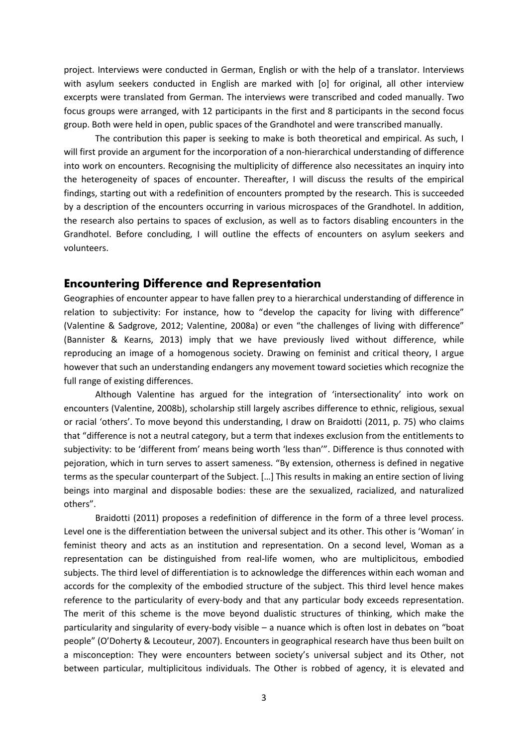project. Interviews were conducted in German, English or with the help of a translator. Interviews with asylum seekers conducted in English are marked with [o] for original, all other interview excerpts were translated from German. The interviews were transcribed and coded manually. Two focus groups were arranged, with 12 participants in the first and 8 participants in the second focus group. Both were held in open, public spaces of the Grandhotel and were transcribed manually.

The contribution this paper is seeking to make is both theoretical and empirical. As such, I will first provide an argument for the incorporation of a non-hierarchical understanding of difference into work on encounters. Recognising the multiplicity of difference also necessitates an inquiry into the heterogeneity of spaces of encounter. Thereafter, I will discuss the results of the empirical findings, starting out with a redefinition of encounters prompted by the research. This is succeeded by a description of the encounters occurring in various microspaces of the Grandhotel. In addition, the research also pertains to spaces of exclusion, as well as to factors disabling encounters in the Grandhotel. Before concluding, I will outline the effects of encounters on asylum seekers and volunteers.

#### **Encountering Difference and Representation**

Geographies of encounter appear to have fallen prey to a hierarchical understanding of difference in relation to subjectivity: For instance, how to "develop the capacity for living with difference" (Valentine & Sadgrove, 2012; Valentine, 2008a) or even "the challenges of living with difference" (Bannister & Kearns, 2013) imply that we have previously lived without difference, while reproducing an image of a homogenous society. Drawing on feminist and critical theory, I argue however that such an understanding endangers any movement toward societies which recognize the full range of existing differences.

Although Valentine has argued for the integration of 'intersectionality' into work on encounters (Valentine, 2008b), scholarship still largely ascribes difference to ethnic, religious, sexual or racial 'others'. To move beyond this understanding, I draw on Braidotti (2011, p. 75) who claims that "difference is not a neutral category, but a term that indexes exclusion from the entitlements to subjectivity: to be 'different from' means being worth 'less than'". Difference is thus connoted with pejoration, which in turn serves to assert sameness. "By extension, otherness is defined in negative terms as the specular counterpart of the Subject. […] This results in making an entire section of living beings into marginal and disposable bodies: these are the sexualized, racialized, and naturalized others".

Braidotti (2011) proposes a redefinition of difference in the form of a three level process. Level one is the differentiation between the universal subject and its other. This other is 'Woman' in feminist theory and acts as an institution and representation. On a second level, Woman as a representation can be distinguished from real-life women, who are multiplicitous, embodied subjects. The third level of differentiation is to acknowledge the differences within each woman and accords for the complexity of the embodied structure of the subject. This third level hence makes reference to the particularity of every-body and that any particular body exceeds representation. The merit of this scheme is the move beyond dualistic structures of thinking, which make the particularity and singularity of every-body visible – a nuance which is often lost in debates on "boat people" (O'Doherty & Lecouteur, 2007). Encounters in geographical research have thus been built on a misconception: They were encounters between society's universal subject and its Other, not between particular, multiplicitous individuals. The Other is robbed of agency, it is elevated and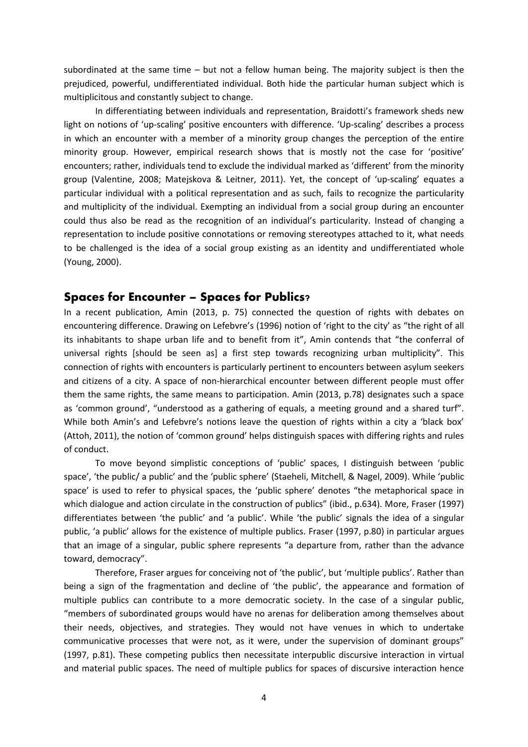subordinated at the same time – but not a fellow human being. The majority subject is then the prejudiced, powerful, undifferentiated individual. Both hide the particular human subject which is multiplicitous and constantly subject to change.

In differentiating between individuals and representation, Braidotti's framework sheds new light on notions of 'up-scaling' positive encounters with difference. 'Up-scaling' describes a process in which an encounter with a member of a minority group changes the perception of the entire minority group. However, empirical research shows that is mostly not the case for 'positive' encounters; rather, individuals tend to exclude the individual marked as 'different' from the minority group (Valentine, 2008; Matejskova & Leitner, 2011). Yet, the concept of 'up-scaling' equates a particular individual with a political representation and as such, fails to recognize the particularity and multiplicity of the individual. Exempting an individual from a social group during an encounter could thus also be read as the recognition of an individual's particularity. Instead of changing a representation to include positive connotations or removing stereotypes attached to it, what needs to be challenged is the idea of a social group existing as an identity and undifferentiated whole (Young, 2000).

### **Spaces for Encounter – Spaces for Publics?**

In a recent publication, Amin (2013, p. 75) connected the question of rights with debates on encountering difference. Drawing on Lefebvre's (1996) notion of 'right to the city' as "the right of all its inhabitants to shape urban life and to benefit from it", Amin contends that "the conferral of universal rights [should be seen as] a first step towards recognizing urban multiplicity". This connection of rights with encounters is particularly pertinent to encounters between asylum seekers and citizens of a city. A space of non-hierarchical encounter between different people must offer them the same rights, the same means to participation. Amin (2013, p.78) designates such a space as 'common ground', "understood as a gathering of equals, a meeting ground and a shared turf". While both Amin's and Lefebvre's notions leave the question of rights within a city a 'black box' (Attoh, 2011), the notion of 'common ground' helps distinguish spaces with differing rights and rules of conduct.

To move beyond simplistic conceptions of 'public' spaces, I distinguish between 'public space', 'the public/ a public' and the 'public sphere' (Staeheli, Mitchell, & Nagel, 2009). While 'public space' is used to refer to physical spaces, the 'public sphere' denotes "the metaphorical space in which dialogue and action circulate in the construction of publics" (ibid., p.634). More, Fraser (1997) differentiates between 'the public' and 'a public'. While 'the public' signals the idea of a singular public, 'a public' allows for the existence of multiple publics. Fraser (1997, p.80) in particular argues that an image of a singular, public sphere represents "a departure from, rather than the advance toward, democracy".

Therefore, Fraser argues for conceiving not of 'the public', but 'multiple publics'. Rather than being a sign of the fragmentation and decline of 'the public', the appearance and formation of multiple publics can contribute to a more democratic society. In the case of a singular public, "members of subordinated groups would have no arenas for deliberation among themselves about their needs, objectives, and strategies. They would not have venues in which to undertake communicative processes that were not, as it were, under the supervision of dominant groups" (1997, p.81). These competing publics then necessitate interpublic discursive interaction in virtual and material public spaces. The need of multiple publics for spaces of discursive interaction hence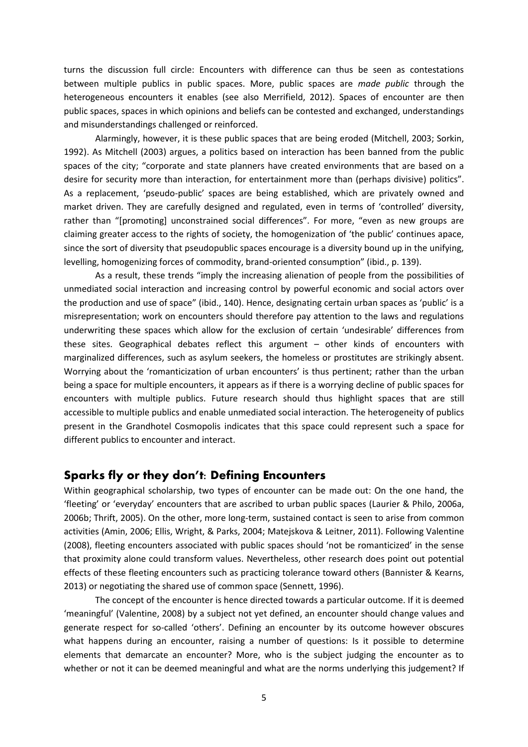turns the discussion full circle: Encounters with difference can thus be seen as contestations between multiple publics in public spaces. More, public spaces are *made public* through the heterogeneous encounters it enables (see also Merrifield, 2012). Spaces of encounter are then public spaces, spaces in which opinions and beliefs can be contested and exchanged, understandings and misunderstandings challenged or reinforced.

Alarmingly, however, it is these public spaces that are being eroded (Mitchell, 2003; Sorkin, 1992). As Mitchell (2003) argues, a politics based on interaction has been banned from the public spaces of the city; "corporate and state planners have created environments that are based on a desire for security more than interaction, for entertainment more than (perhaps divisive) politics". As a replacement, 'pseudo-public' spaces are being established, which are privately owned and market driven. They are carefully designed and regulated, even in terms of 'controlled' diversity, rather than "[promoting] unconstrained social differences". For more, "even as new groups are claiming greater access to the rights of society, the homogenization of 'the public' continues apace, since the sort of diversity that pseudopublic spaces encourage is a diversity bound up in the unifying, levelling, homogenizing forces of commodity, brand-oriented consumption" (ibid., p. 139).

As a result, these trends "imply the increasing alienation of people from the possibilities of unmediated social interaction and increasing control by powerful economic and social actors over the production and use of space" (ibid., 140). Hence, designating certain urban spaces as 'public' is a misrepresentation; work on encounters should therefore pay attention to the laws and regulations underwriting these spaces which allow for the exclusion of certain 'undesirable' differences from these sites. Geographical debates reflect this argument – other kinds of encounters with marginalized differences, such as asylum seekers, the homeless or prostitutes are strikingly absent. Worrying about the 'romanticization of urban encounters' is thus pertinent; rather than the urban being a space for multiple encounters, it appears as if there is a worrying decline of public spaces for encounters with multiple publics. Future research should thus highlight spaces that are still accessible to multiple publics and enable unmediated social interaction. The heterogeneity of publics present in the Grandhotel Cosmopolis indicates that this space could represent such a space for different publics to encounter and interact.

### **Sparks fly or they don't: Defining Encounters**

Within geographical scholarship, two types of encounter can be made out: On the one hand, the 'fleeting' or 'everyday' encounters that are ascribed to urban public spaces (Laurier & Philo, 2006a, 2006b; Thrift, 2005). On the other, more long-term, sustained contact is seen to arise from common activities (Amin, 2006; Ellis, Wright, & Parks, 2004; Matejskova & Leitner, 2011). Following Valentine (2008), fleeting encounters associated with public spaces should 'not be romanticized' in the sense that proximity alone could transform values. Nevertheless, other research does point out potential effects of these fleeting encounters such as practicing tolerance toward others (Bannister & Kearns, 2013) or negotiating the shared use of common space (Sennett, 1996).

The concept of the encounter is hence directed towards a particular outcome. If it is deemed 'meaningful' (Valentine, 2008) by a subject not yet defined, an encounter should change values and generate respect for so-called 'others'. Defining an encounter by its outcome however obscures what happens during an encounter, raising a number of questions: Is it possible to determine elements that demarcate an encounter? More, who is the subject judging the encounter as to whether or not it can be deemed meaningful and what are the norms underlying this judgement? If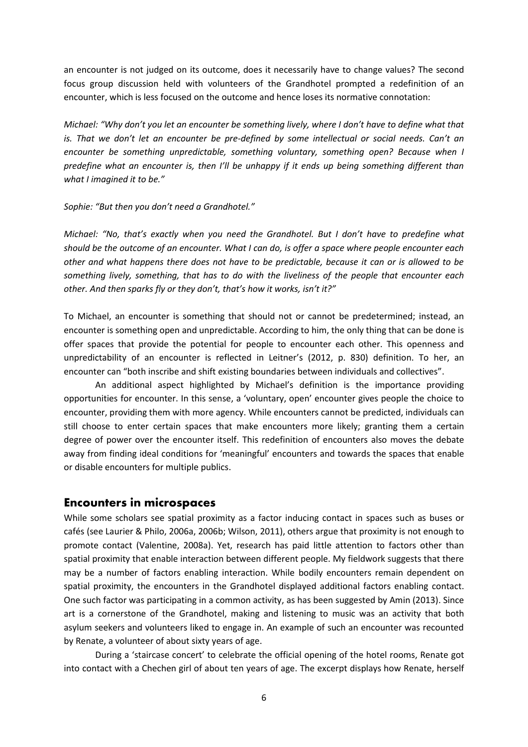an encounter is not judged on its outcome, does it necessarily have to change values? The second focus group discussion held with volunteers of the Grandhotel prompted a redefinition of an encounter, which is less focused on the outcome and hence loses its normative connotation:

*Michael: "Why don't you let an encounter be something lively, where I don't have to define what that is. That we don't let an encounter be pre-defined by some intellectual or social needs. Can't an encounter be something unpredictable, something voluntary, something open? Because when I predefine what an encounter is, then I'll be unhappy if it ends up being something different than what I imagined it to be."*

#### *Sophie: "But then you don't need a Grandhotel."*

*Michael: "No, that's exactly when you need the Grandhotel. But I don't have to predefine what should be the outcome of an encounter. What I can do, is offer a space where people encounter each other and what happens there does not have to be predictable, because it can or is allowed to be something lively, something, that has to do with the liveliness of the people that encounter each other. And then sparks fly or they don't, that's how it works, isn't it?"*

To Michael, an encounter is something that should not or cannot be predetermined; instead, an encounter is something open and unpredictable. According to him, the only thing that can be done is offer spaces that provide the potential for people to encounter each other. This openness and unpredictability of an encounter is reflected in Leitner's (2012, p. 830) definition. To her, an encounter can "both inscribe and shift existing boundaries between individuals and collectives".

An additional aspect highlighted by Michael's definition is the importance providing opportunities for encounter. In this sense, a 'voluntary, open' encounter gives people the choice to encounter, providing them with more agency. While encounters cannot be predicted, individuals can still choose to enter certain spaces that make encounters more likely; granting them a certain degree of power over the encounter itself. This redefinition of encounters also moves the debate away from finding ideal conditions for 'meaningful' encounters and towards the spaces that enable or disable encounters for multiple publics.

#### **Encounters in microspaces**

While some scholars see spatial proximity as a factor inducing contact in spaces such as buses or cafés (see Laurier & Philo, 2006a, 2006b; Wilson, 2011), others argue that proximity is not enough to promote contact (Valentine, 2008a). Yet, research has paid little attention to factors other than spatial proximity that enable interaction between different people. My fieldwork suggests that there may be a number of factors enabling interaction. While bodily encounters remain dependent on spatial proximity, the encounters in the Grandhotel displayed additional factors enabling contact. One such factor was participating in a common activity, as has been suggested by Amin (2013). Since art is a cornerstone of the Grandhotel, making and listening to music was an activity that both asylum seekers and volunteers liked to engage in. An example of such an encounter was recounted by Renate, a volunteer of about sixty years of age.

During a 'staircase concert' to celebrate the official opening of the hotel rooms, Renate got into contact with a Chechen girl of about ten years of age. The excerpt displays how Renate, herself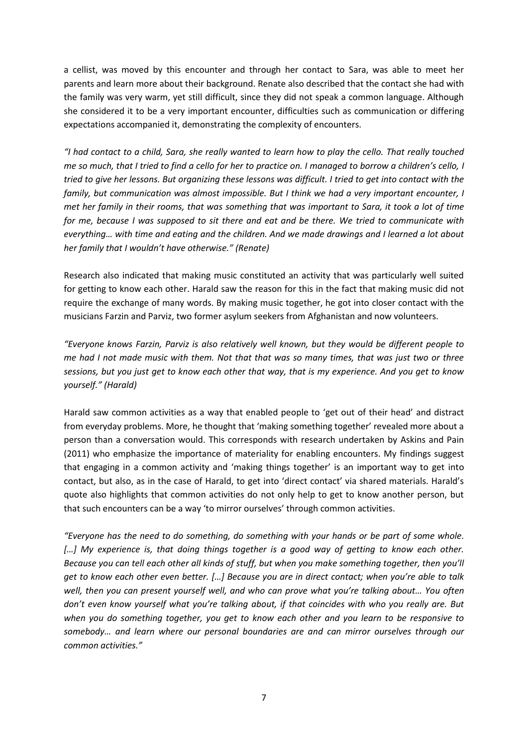a cellist, was moved by this encounter and through her contact to Sara, was able to meet her parents and learn more about their background. Renate also described that the contact she had with the family was very warm, yet still difficult, since they did not speak a common language. Although she considered it to be a very important encounter, difficulties such as communication or differing expectations accompanied it, demonstrating the complexity of encounters.

"I had contact to a child, Sara, she really wanted to learn how to play the cello. That really touched *me so much, that I tried to find a cello for her to practice on. I managed to borrow a children's cello, I tried to give her lessons. But organizing these lessons was difficult. I tried to get into contact with the family, but communication was almost impossible. But I think we had a very important encounter, I met her family in their rooms, that was something that was important to Sara, it took a lot of time for me, because I was supposed to sit there and eat and be there. We tried to communicate with everything… with time and eating and the children. And we made drawings and I learned a lot about her family that I wouldn't have otherwise." (Renate)*

Research also indicated that making music constituted an activity that was particularly well suited for getting to know each other. Harald saw the reason for this in the fact that making music did not require the exchange of many words. By making music together, he got into closer contact with the musicians Farzin and Parviz, two former asylum seekers from Afghanistan and now volunteers.

*"Everyone knows Farzin, Parviz is also relatively well known, but they would be different people to me had I not made music with them. Not that that was so many times, that was just two or three sessions, but you just get to know each other that way, that is my experience. And you get to know yourself." (Harald)* 

Harald saw common activities as a way that enabled people to 'get out of their head' and distract from everyday problems. More, he thought that 'making something together' revealed more about a person than a conversation would. This corresponds with research undertaken by Askins and Pain (2011) who emphasize the importance of materiality for enabling encounters. My findings suggest that engaging in a common activity and 'making things together' is an important way to get into contact, but also, as in the case of Harald, to get into 'direct contact' via shared materials. Harald's quote also highlights that common activities do not only help to get to know another person, but that such encounters can be a way 'to mirror ourselves' through common activities.

*"Everyone has the need to do something, do something with your hands or be part of some whole. […] My experience is, that doing things together is a good way of getting to know each other. Because you can tell each other all kinds of stuff, but when you make something together, then you'll get to know each other even better. […] Because you are in direct contact; when you're able to talk well, then you can present yourself well, and who can prove what you're talking about… You often don't even know yourself what you're talking about, if that coincides with who you really are. But when you do something together, you get to know each other and you learn to be responsive to somebody… and learn where our personal boundaries are and can mirror ourselves through our common activities."*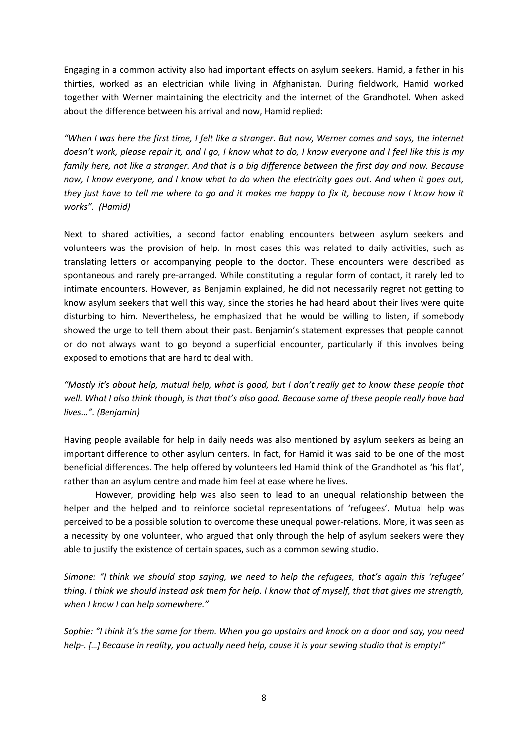Engaging in a common activity also had important effects on asylum seekers. Hamid, a father in his thirties, worked as an electrician while living in Afghanistan. During fieldwork, Hamid worked together with Werner maintaining the electricity and the internet of the Grandhotel. When asked about the difference between his arrival and now, Hamid replied:

*"When I was here the first time, I felt like a stranger. But now, Werner comes and says, the internet doesn't work, please repair it, and I go, I know what to do, I know everyone and I feel like this is my family here, not like a stranger. And that is a big difference between the first day and now. Because now, I know everyone, and I know what to do when the electricity goes out. And when it goes out, they just have to tell me where to go and it makes me happy to fix it, because now I know how it works". (Hamid)*

Next to shared activities, a second factor enabling encounters between asylum seekers and volunteers was the provision of help. In most cases this was related to daily activities, such as translating letters or accompanying people to the doctor. These encounters were described as spontaneous and rarely pre-arranged. While constituting a regular form of contact, it rarely led to intimate encounters. However, as Benjamin explained, he did not necessarily regret not getting to know asylum seekers that well this way, since the stories he had heard about their lives were quite disturbing to him. Nevertheless, he emphasized that he would be willing to listen, if somebody showed the urge to tell them about their past. Benjamin's statement expresses that people cannot or do not always want to go beyond a superficial encounter, particularly if this involves being exposed to emotions that are hard to deal with.

*"Mostly it's about help, mutual help, what is good, but I don't really get to know these people that well. What I also think though, is that that's also good. Because some of these people really have bad lives…". (Benjamin)*

Having people available for help in daily needs was also mentioned by asylum seekers as being an important difference to other asylum centers. In fact, for Hamid it was said to be one of the most beneficial differences. The help offered by volunteers led Hamid think of the Grandhotel as 'his flat', rather than an asylum centre and made him feel at ease where he lives.

However, providing help was also seen to lead to an unequal relationship between the helper and the helped and to reinforce societal representations of 'refugees'. Mutual help was perceived to be a possible solution to overcome these unequal power-relations. More, it was seen as a necessity by one volunteer, who argued that only through the help of asylum seekers were they able to justify the existence of certain spaces, such as a common sewing studio.

*Simone: "I think we should stop saying, we need to help the refugees, that's again this 'refugee' thing. I think we should instead ask them for help. I know that of myself, that that gives me strength, when I know I can help somewhere."*

*Sophie: "I think it's the same for them. When you go upstairs and knock on a door and say, you need help-. […] Because in reality, you actually need help, cause it is your sewing studio that is empty!"*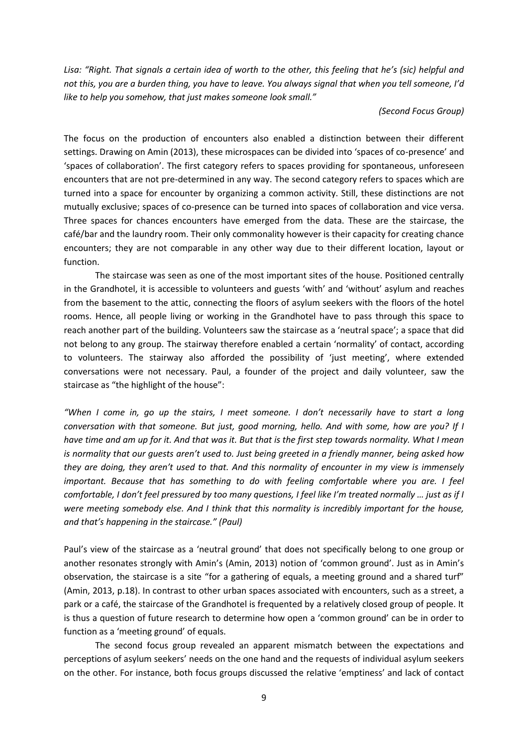*Lisa: "Right. That signals a certain idea of worth to the other, this feeling that he's (sic) helpful and not this, you are a burden thing, you have to leave. You always signal that when you tell someone, I'd like to help you somehow, that just makes someone look small."*

#### *(Second Focus Group)*

The focus on the production of encounters also enabled a distinction between their different settings. Drawing on Amin (2013), these microspaces can be divided into 'spaces of co-presence' and 'spaces of collaboration'. The first category refers to spaces providing for spontaneous, unforeseen encounters that are not pre-determined in any way. The second category refers to spaces which are turned into a space for encounter by organizing a common activity. Still, these distinctions are not mutually exclusive; spaces of co-presence can be turned into spaces of collaboration and vice versa. Three spaces for chances encounters have emerged from the data. These are the staircase, the café/bar and the laundry room. Their only commonality however is their capacity for creating chance encounters; they are not comparable in any other way due to their different location, layout or function.

The staircase was seen as one of the most important sites of the house. Positioned centrally in the Grandhotel, it is accessible to volunteers and guests 'with' and 'without' asylum and reaches from the basement to the attic, connecting the floors of asylum seekers with the floors of the hotel rooms. Hence, all people living or working in the Grandhotel have to pass through this space to reach another part of the building. Volunteers saw the staircase as a 'neutral space'; a space that did not belong to any group. The stairway therefore enabled a certain 'normality' of contact, according to volunteers. The stairway also afforded the possibility of 'just meeting', where extended conversations were not necessary. Paul, a founder of the project and daily volunteer, saw the staircase as "the highlight of the house":

*"When I come in, go up the stairs, I meet someone. I don't necessarily have to start a long conversation with that someone. But just, good morning, hello. And with some, how are you? If I have time and am up for it. And that was it. But that is the first step towards normality. What I mean is normality that our guests aren't used to. Just being greeted in a friendly manner, being asked how they are doing, they aren't used to that. And this normality of encounter in my view is immensely important. Because that has something to do with feeling comfortable where you are. I feel comfortable, I don't feel pressured by too many questions, I feel like I'm treated normally … just as if I were meeting somebody else. And I think that this normality is incredibly important for the house, and that's happening in the staircase." (Paul)*

Paul's view of the staircase as a 'neutral ground' that does not specifically belong to one group or another resonates strongly with Amin's (Amin, 2013) notion of 'common ground'. Just as in Amin's observation, the staircase is a site "for a gathering of equals, a meeting ground and a shared turf" (Amin, 2013, p.18). In contrast to other urban spaces associated with encounters, such as a street, a park or a café, the staircase of the Grandhotel is frequented by a relatively closed group of people. It is thus a question of future research to determine how open a 'common ground' can be in order to function as a 'meeting ground' of equals.

The second focus group revealed an apparent mismatch between the expectations and perceptions of asylum seekers' needs on the one hand and the requests of individual asylum seekers on the other. For instance, both focus groups discussed the relative 'emptiness' and lack of contact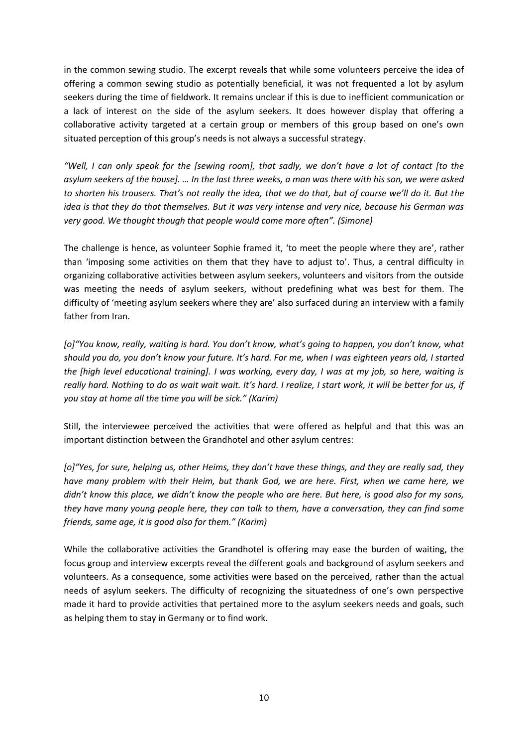in the common sewing studio. The excerpt reveals that while some volunteers perceive the idea of offering a common sewing studio as potentially beneficial, it was not frequented a lot by asylum seekers during the time of fieldwork. It remains unclear if this is due to inefficient communication or a lack of interest on the side of the asylum seekers. It does however display that offering a collaborative activity targeted at a certain group or members of this group based on one's own situated perception of this group's needs is not always a successful strategy.

*"Well, I can only speak for the [sewing room], that sadly, we don't have a lot of contact [to the asylum seekers of the house]. … In the last three weeks, a man was there with his son, we were asked to shorten his trousers. That's not really the idea, that we do that, but of course we'll do it. But the idea is that they do that themselves. But it was very intense and very nice, because his German was very good. We thought though that people would come more often". (Simone)*

The challenge is hence, as volunteer Sophie framed it, 'to meet the people where they are', rather than 'imposing some activities on them that they have to adjust to'. Thus, a central difficulty in organizing collaborative activities between asylum seekers, volunteers and visitors from the outside was meeting the needs of asylum seekers, without predefining what was best for them. The difficulty of 'meeting asylum seekers where they are' also surfaced during an interview with a family father from Iran.

*[o]"You know, really, waiting is hard. You don't know, what's going to happen, you don't know, what should you do, you don't know your future. It's hard. For me, when I was eighteen years old, I started the [high level educational training]. I was working, every day, I was at my job, so here, waiting is really hard. Nothing to do as wait wait wait. It's hard. I realize, I start work, it will be better for us, if you stay at home all the time you will be sick." (Karim)*

Still, the interviewee perceived the activities that were offered as helpful and that this was an important distinction between the Grandhotel and other asylum centres:

*[o]"Yes, for sure, helping us, other Heims, they don't have these things, and they are really sad, they have many problem with their Heim, but thank God, we are here. First, when we came here, we didn't know this place, we didn't know the people who are here. But here, is good also for my sons, they have many young people here, they can talk to them, have a conversation, they can find some friends, same age, it is good also for them." (Karim)*

While the collaborative activities the Grandhotel is offering may ease the burden of waiting, the focus group and interview excerpts reveal the different goals and background of asylum seekers and volunteers. As a consequence, some activities were based on the perceived, rather than the actual needs of asylum seekers. The difficulty of recognizing the situatedness of one's own perspective made it hard to provide activities that pertained more to the asylum seekers needs and goals, such as helping them to stay in Germany or to find work.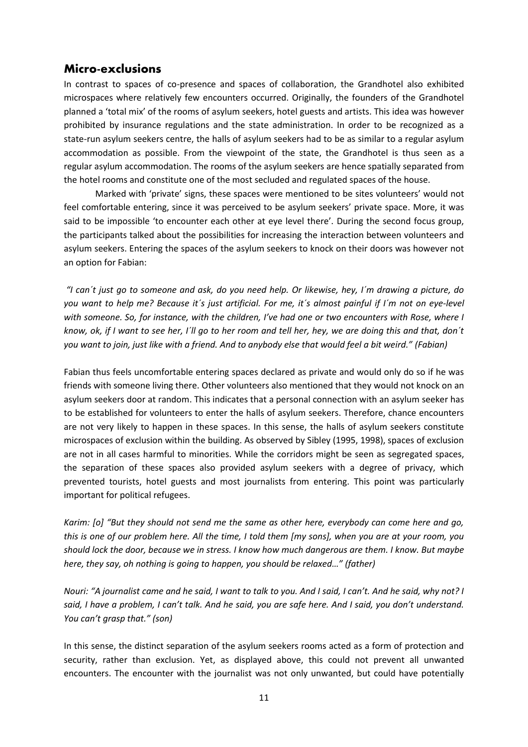# **Micro-exclusions**

In contrast to spaces of co-presence and spaces of collaboration, the Grandhotel also exhibited microspaces where relatively few encounters occurred. Originally, the founders of the Grandhotel planned a 'total mix' of the rooms of asylum seekers, hotel guests and artists. This idea was however prohibited by insurance regulations and the state administration. In order to be recognized as a state-run asylum seekers centre, the halls of asylum seekers had to be as similar to a regular asylum accommodation as possible. From the viewpoint of the state, the Grandhotel is thus seen as a regular asylum accommodation. The rooms of the asylum seekers are hence spatially separated from the hotel rooms and constitute one of the most secluded and regulated spaces of the house.

Marked with 'private' signs, these spaces were mentioned to be sites volunteers' would not feel comfortable entering, since it was perceived to be asylum seekers' private space. More, it was said to be impossible 'to encounter each other at eye level there'. During the second focus group, the participants talked about the possibilities for increasing the interaction between volunteers and asylum seekers. Entering the spaces of the asylum seekers to knock on their doors was however not an option for Fabian:

*"I can´t just go to someone and ask, do you need help. Or likewise, hey, I´m drawing a picture, do you want to help me? Because it´s just artificial. For me, it´s almost painful if I´m not on eye-level with someone. So, for instance, with the children, I've had one or two encounters with Rose, where I know, ok, if I want to see her, I´ll go to her room and tell her, hey, we are doing this and that, don´t you want to join, just like with a friend. And to anybody else that would feel a bit weird." (Fabian)*

Fabian thus feels uncomfortable entering spaces declared as private and would only do so if he was friends with someone living there. Other volunteers also mentioned that they would not knock on an asylum seekers door at random. This indicates that a personal connection with an asylum seeker has to be established for volunteers to enter the halls of asylum seekers. Therefore, chance encounters are not very likely to happen in these spaces. In this sense, the halls of asylum seekers constitute microspaces of exclusion within the building. As observed by Sibley (1995, 1998), spaces of exclusion are not in all cases harmful to minorities. While the corridors might be seen as segregated spaces, the separation of these spaces also provided asylum seekers with a degree of privacy, which prevented tourists, hotel guests and most journalists from entering. This point was particularly important for political refugees.

*Karim: [o] "But they should not send me the same as other here, everybody can come here and go, this is one of our problem here. All the time, I told them [my sons], when you are at your room, you should lock the door, because we in stress. I know how much dangerous are them. I know. But maybe here, they say, oh nothing is going to happen, you should be relaxed…" (father)*

*Nouri: "A journalist came and he said, I want to talk to you. And I said, I can't. And he said, why not? I said, I have a problem, I can't talk. And he said, you are safe here. And I said, you don't understand. You can't grasp that." (son)*

In this sense, the distinct separation of the asylum seekers rooms acted as a form of protection and security, rather than exclusion. Yet, as displayed above, this could not prevent all unwanted encounters. The encounter with the journalist was not only unwanted, but could have potentially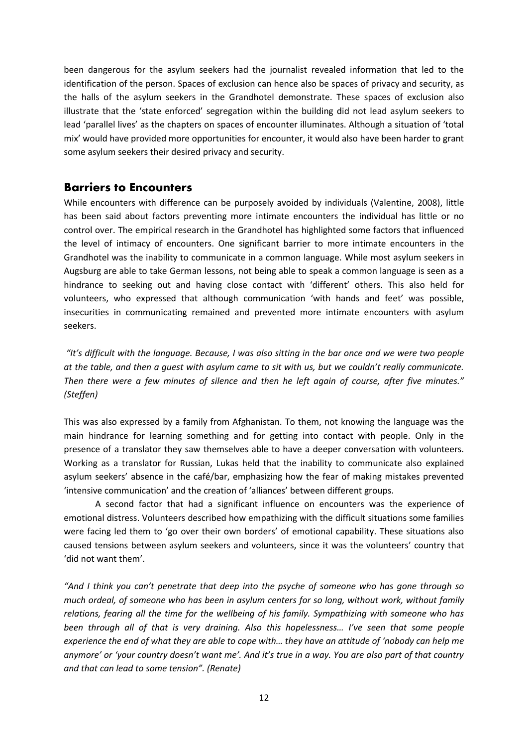been dangerous for the asylum seekers had the journalist revealed information that led to the identification of the person. Spaces of exclusion can hence also be spaces of privacy and security, as the halls of the asylum seekers in the Grandhotel demonstrate. These spaces of exclusion also illustrate that the 'state enforced' segregation within the building did not lead asylum seekers to lead 'parallel lives' as the chapters on spaces of encounter illuminates. Although a situation of 'total mix' would have provided more opportunities for encounter, it would also have been harder to grant some asylum seekers their desired privacy and security.

## **Barriers to Encounters**

While encounters with difference can be purposely avoided by individuals (Valentine, 2008), little has been said about factors preventing more intimate encounters the individual has little or no control over. The empirical research in the Grandhotel has highlighted some factors that influenced the level of intimacy of encounters. One significant barrier to more intimate encounters in the Grandhotel was the inability to communicate in a common language. While most asylum seekers in Augsburg are able to take German lessons, not being able to speak a common language is seen as a hindrance to seeking out and having close contact with 'different' others. This also held for volunteers, who expressed that although communication 'with hands and feet' was possible, insecurities in communicating remained and prevented more intimate encounters with asylum seekers.

*"It's difficult with the language. Because, I was also sitting in the bar once and we were two people at the table, and then a guest with asylum came to sit with us, but we couldn't really communicate. Then there were a few minutes of silence and then he left again of course, after five minutes." (Steffen)*

This was also expressed by a family from Afghanistan. To them, not knowing the language was the main hindrance for learning something and for getting into contact with people. Only in the presence of a translator they saw themselves able to have a deeper conversation with volunteers. Working as a translator for Russian, Lukas held that the inability to communicate also explained asylum seekers' absence in the café/bar, emphasizing how the fear of making mistakes prevented 'intensive communication' and the creation of 'alliances' between different groups.

A second factor that had a significant influence on encounters was the experience of emotional distress. Volunteers described how empathizing with the difficult situations some families were facing led them to 'go over their own borders' of emotional capability. These situations also caused tensions between asylum seekers and volunteers, since it was the volunteers' country that 'did not want them'.

*"And I think you can't penetrate that deep into the psyche of someone who has gone through so much ordeal, of someone who has been in asylum centers for so long, without work, without family relations, fearing all the time for the wellbeing of his family. Sympathizing with someone who has been through all of that is very draining. Also this hopelessness… I've seen that some people experience the end of what they are able to cope with… they have an attitude of 'nobody can help me anymore' or 'your country doesn't want me'. And it's true in a way. You are also part of that country and that can lead to some tension". (Renate)*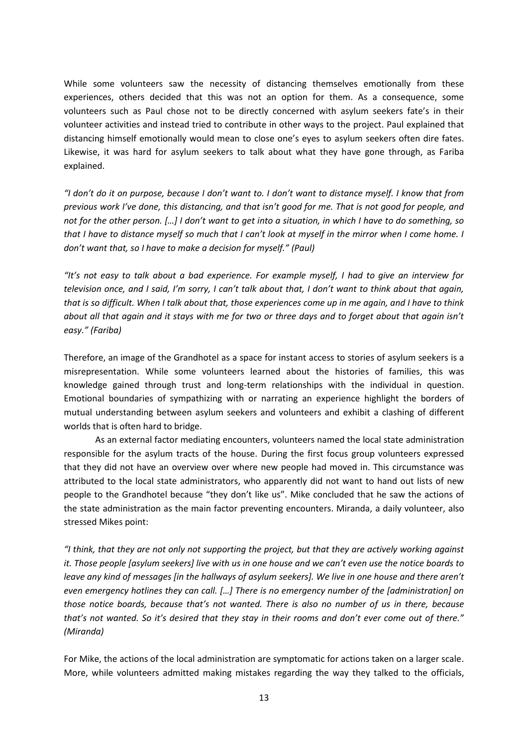While some volunteers saw the necessity of distancing themselves emotionally from these experiences, others decided that this was not an option for them. As a consequence, some volunteers such as Paul chose not to be directly concerned with asylum seekers fate's in their volunteer activities and instead tried to contribute in other ways to the project. Paul explained that distancing himself emotionally would mean to close one's eyes to asylum seekers often dire fates. Likewise, it was hard for asylum seekers to talk about what they have gone through, as Fariba explained.

*"I don't do it on purpose, because I don't want to. I don't want to distance myself. I know that from previous work I've done, this distancing, and that isn't good for me. That is not good for people, and not for the other person. […] I don't want to get into a situation, in which I have to do something, so that I have to distance myself so much that I can't look at myself in the mirror when I come home. I don't want that, so I have to make a decision for myself." (Paul)*

*"It's not easy to talk about a bad experience. For example myself, I had to give an interview for television once, and I said, I'm sorry, I can't talk about that, I don't want to think about that again, that is so difficult. When I talk about that, those experiences come up in me again, and I have to think about all that again and it stays with me for two or three days and to forget about that again isn't easy." (Fariba)*

Therefore, an image of the Grandhotel as a space for instant access to stories of asylum seekers is a misrepresentation. While some volunteers learned about the histories of families, this was knowledge gained through trust and long-term relationships with the individual in question. Emotional boundaries of sympathizing with or narrating an experience highlight the borders of mutual understanding between asylum seekers and volunteers and exhibit a clashing of different worlds that is often hard to bridge.

As an external factor mediating encounters, volunteers named the local state administration responsible for the asylum tracts of the house. During the first focus group volunteers expressed that they did not have an overview over where new people had moved in. This circumstance was attributed to the local state administrators, who apparently did not want to hand out lists of new people to the Grandhotel because "they don't like us". Mike concluded that he saw the actions of the state administration as the main factor preventing encounters. Miranda, a daily volunteer, also stressed Mikes point:

*"I think, that they are not only not supporting the project, but that they are actively working against it. Those people [asylum seekers] live with us in one house and we can't even use the notice boards to leave any kind of messages [in the hallways of asylum seekers]. We live in one house and there aren't even emergency hotlines they can call. […] There is no emergency number of the [administration] on those notice boards, because that's not wanted. There is also no number of us in there, because that's not wanted. So it's desired that they stay in their rooms and don't ever come out of there." (Miranda)*

For Mike, the actions of the local administration are symptomatic for actions taken on a larger scale. More, while volunteers admitted making mistakes regarding the way they talked to the officials,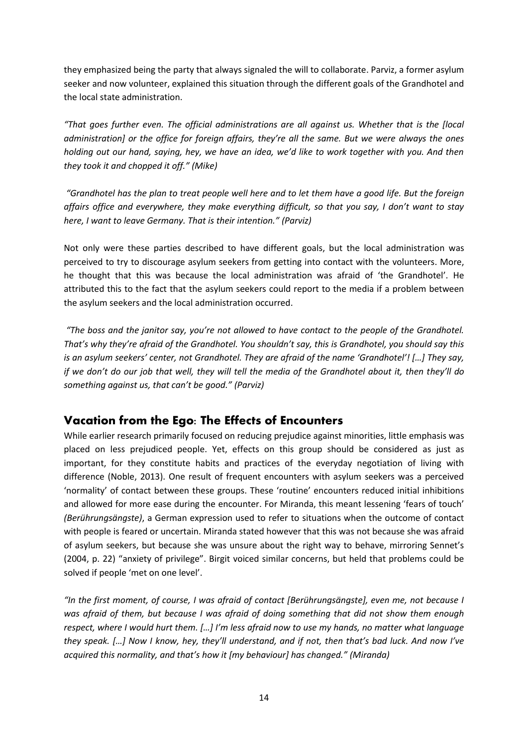they emphasized being the party that always signaled the will to collaborate. Parviz, a former asylum seeker and now volunteer, explained this situation through the different goals of the Grandhotel and the local state administration.

*"That goes further even. The official administrations are all against us. Whether that is the [local administration] or the office for foreign affairs, they're all the same. But we were always the ones holding out our hand, saying, hey, we have an idea, we'd like to work together with you. And then they took it and chopped it off." (Mike)*

*"Grandhotel has the plan to treat people well here and to let them have a good life. But the foreign affairs office and everywhere, they make everything difficult, so that you say, I don't want to stay here, I want to leave Germany. That is their intention." (Parviz)*

Not only were these parties described to have different goals, but the local administration was perceived to try to discourage asylum seekers from getting into contact with the volunteers. More, he thought that this was because the local administration was afraid of 'the Grandhotel'. He attributed this to the fact that the asylum seekers could report to the media if a problem between the asylum seekers and the local administration occurred.

*"The boss and the janitor say, you're not allowed to have contact to the people of the Grandhotel. That's why they're afraid of the Grandhotel. You shouldn't say, this is Grandhotel, you should say this is an asylum seekers' center, not Grandhotel. They are afraid of the name 'Grandhotel'! […] They say, if we don't do our job that well, they will tell the media of the Grandhotel about it, then they'll do something against us, that can't be good." (Parviz)* 

# **Vacation from the Ego: The Effects of Encounters**

While earlier research primarily focused on reducing prejudice against minorities, little emphasis was placed on less prejudiced people. Yet, effects on this group should be considered as just as important, for they constitute habits and practices of the everyday negotiation of living with difference (Noble, 2013). One result of frequent encounters with asylum seekers was a perceived 'normality' of contact between these groups. These 'routine' encounters reduced initial inhibitions and allowed for more ease during the encounter. For Miranda, this meant lessening 'fears of touch' *(Berührungsängste)*, a German expression used to refer to situations when the outcome of contact with people is feared or uncertain. Miranda stated however that this was not because she was afraid of asylum seekers, but because she was unsure about the right way to behave, mirroring Sennet's (2004, p. 22) "anxiety of privilege". Birgit voiced similar concerns, but held that problems could be solved if people 'met on one level'.

*"In the first moment, of course, I was afraid of contact [Berührungsängste], even me, not because I was afraid of them, but because I was afraid of doing something that did not show them enough respect, where I would hurt them. […] I'm less afraid now to use my hands, no matter what language they speak. […] Now I know, hey, they'll understand, and if not, then that's bad luck. And now I've acquired this normality, and that's how it [my behaviour] has changed." (Miranda)*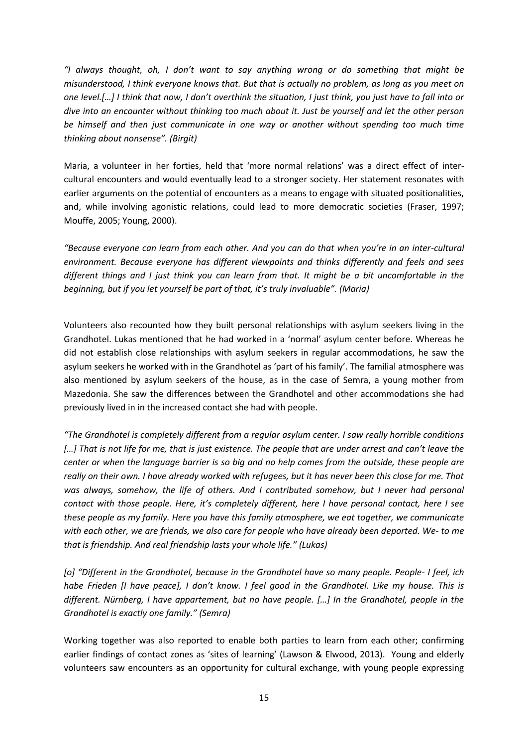*"I always thought, oh, I don't want to say anything wrong or do something that might be misunderstood, I think everyone knows that. But that is actually no problem, as long as you meet on one level.[…] I think that now, I don't overthink the situation, I just think, you just have to fall into or dive into an encounter without thinking too much about it. Just be yourself and let the other person be himself and then just communicate in one way or another without spending too much time thinking about nonsense". (Birgit)*

Maria, a volunteer in her forties, held that 'more normal relations' was a direct effect of intercultural encounters and would eventually lead to a stronger society. Her statement resonates with earlier arguments on the potential of encounters as a means to engage with situated positionalities, and, while involving agonistic relations, could lead to more democratic societies (Fraser, 1997; Mouffe, 2005; Young, 2000).

*"Because everyone can learn from each other. And you can do that when you're in an inter-cultural environment. Because everyone has different viewpoints and thinks differently and feels and sees different things and I just think you can learn from that. It might be a bit uncomfortable in the beginning, but if you let yourself be part of that, it's truly invaluable". (Maria)*

Volunteers also recounted how they built personal relationships with asylum seekers living in the Grandhotel. Lukas mentioned that he had worked in a 'normal' asylum center before. Whereas he did not establish close relationships with asylum seekers in regular accommodations, he saw the asylum seekers he worked with in the Grandhotel as 'part of his family'. The familial atmosphere was also mentioned by asylum seekers of the house, as in the case of Semra, a young mother from Mazedonia. She saw the differences between the Grandhotel and other accommodations she had previously lived in in the increased contact she had with people.

*"The Grandhotel is completely different from a regular asylum center. I saw really horrible conditions […] That is not life for me, that is just existence. The people that are under arrest and can't leave the center or when the language barrier is so big and no help comes from the outside, these people are really on their own. I have already worked with refugees, but it has never been this close for me. That*  was always, somehow, the life of others. And I contributed somehow, but I never had personal *contact with those people. Here, it's completely different, here I have personal contact, here I see these people as my family. Here you have this family atmosphere, we eat together, we communicate with each other, we are friends, we also care for people who have already been deported. We- to me that is friendship. And real friendship lasts your whole life." (Lukas)*

*[o] "Different in the Grandhotel, because in the Grandhotel have so many people. People- I feel, ich habe Frieden [I have peace], I don't know. I feel good in the Grandhotel. Like my house. This is different. Nürnberg, I have appartement, but no have people. […] In the Grandhotel, people in the Grandhotel is exactly one family." (Semra)*

Working together was also reported to enable both parties to learn from each other; confirming earlier findings of contact zones as 'sites of learning' (Lawson & Elwood, 2013). Young and elderly volunteers saw encounters as an opportunity for cultural exchange, with young people expressing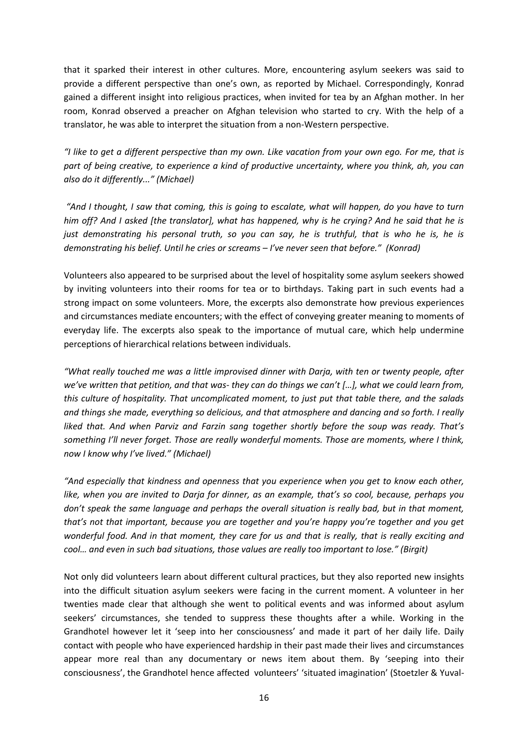that it sparked their interest in other cultures. More, encountering asylum seekers was said to provide a different perspective than one's own, as reported by Michael. Correspondingly, Konrad gained a different insight into religious practices, when invited for tea by an Afghan mother. In her room, Konrad observed a preacher on Afghan television who started to cry. With the help of a translator, he was able to interpret the situation from a non-Western perspective.

*"I like to get a different perspective than my own. Like vacation from your own ego. For me, that is part of being creative, to experience a kind of productive uncertainty, where you think, ah, you can also do it differently..." (Michael)*

*"And I thought, I saw that coming, this is going to escalate, what will happen, do you have to turn him off? And I asked [the translator], what has happened, why is he crying? And he said that he is just demonstrating his personal truth, so you can say, he is truthful, that is who he is, he is demonstrating his belief. Until he cries or screams – I've never seen that before." (Konrad)*

Volunteers also appeared to be surprised about the level of hospitality some asylum seekers showed by inviting volunteers into their rooms for tea or to birthdays. Taking part in such events had a strong impact on some volunteers. More, the excerpts also demonstrate how previous experiences and circumstances mediate encounters; with the effect of conveying greater meaning to moments of everyday life. The excerpts also speak to the importance of mutual care, which help undermine perceptions of hierarchical relations between individuals.

*"What really touched me was a little improvised dinner with Darja, with ten or twenty people, after we've written that petition, and that was- they can do things we can't […], what we could learn from, this culture of hospitality. That uncomplicated moment, to just put that table there, and the salads and things she made, everything so delicious, and that atmosphere and dancing and so forth. I really liked that. And when Parviz and Farzin sang together shortly before the soup was ready. That's something I'll never forget. Those are really wonderful moments. Those are moments, where I think, now I know why I've lived." (Michael)*

*"And especially that kindness and openness that you experience when you get to know each other, like, when you are invited to Darja for dinner, as an example, that's so cool, because, perhaps you don't speak the same language and perhaps the overall situation is really bad, but in that moment, that's not that important, because you are together and you're happy you're together and you get wonderful food. And in that moment, they care for us and that is really, that is really exciting and cool… and even in such bad situations, those values are really too important to lose." (Birgit)* 

Not only did volunteers learn about different cultural practices, but they also reported new insights into the difficult situation asylum seekers were facing in the current moment. A volunteer in her twenties made clear that although she went to political events and was informed about asylum seekers' circumstances, she tended to suppress these thoughts after a while. Working in the Grandhotel however let it 'seep into her consciousness' and made it part of her daily life. Daily contact with people who have experienced hardship in their past made their lives and circumstances appear more real than any documentary or news item about them. By 'seeping into their consciousness', the Grandhotel hence affected volunteers' 'situated imagination' (Stoetzler & Yuval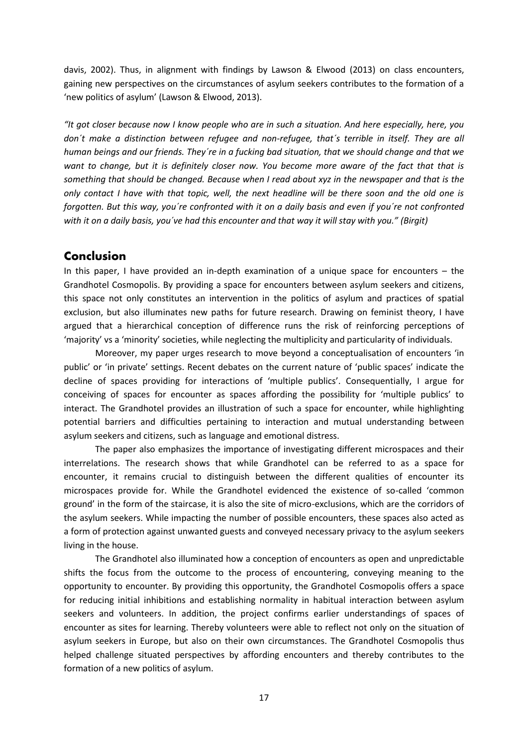davis, 2002). Thus, in alignment with findings by Lawson & Elwood (2013) on class encounters, gaining new perspectives on the circumstances of asylum seekers contributes to the formation of a 'new politics of asylum' (Lawson & Elwood, 2013).

*"It got closer because now I know people who are in such a situation. And here especially, here, you don´t make a distinction between refugee and non-refugee, that´s terrible in itself. They are all human beings and our friends. They´re in a fucking bad situation, that we should change and that we want to change, but it is definitely closer now. You become more aware of the fact that that is something that should be changed. Because when I read about xyz in the newspaper and that is the only contact I have with that topic, well, the next headline will be there soon and the old one is forgotten. But this way, you´re confronted with it on a daily basis and even if you´re not confronted with it on a daily basis, you´ve had this encounter and that way it will stay with you." (Birgit)*

### **Conclusion**

In this paper, I have provided an in-depth examination of a unique space for encounters – the Grandhotel Cosmopolis. By providing a space for encounters between asylum seekers and citizens, this space not only constitutes an intervention in the politics of asylum and practices of spatial exclusion, but also illuminates new paths for future research. Drawing on feminist theory, I have argued that a hierarchical conception of difference runs the risk of reinforcing perceptions of 'majority' vs a 'minority' societies, while neglecting the multiplicity and particularity of individuals.

Moreover, my paper urges research to move beyond a conceptualisation of encounters 'in public' or 'in private' settings. Recent debates on the current nature of 'public spaces' indicate the decline of spaces providing for interactions of 'multiple publics'. Consequentially, I argue for conceiving of spaces for encounter as spaces affording the possibility for 'multiple publics' to interact. The Grandhotel provides an illustration of such a space for encounter, while highlighting potential barriers and difficulties pertaining to interaction and mutual understanding between asylum seekers and citizens, such as language and emotional distress.

The paper also emphasizes the importance of investigating different microspaces and their interrelations. The research shows that while Grandhotel can be referred to as a space for encounter, it remains crucial to distinguish between the different qualities of encounter its microspaces provide for. While the Grandhotel evidenced the existence of so-called 'common ground' in the form of the staircase, it is also the site of micro-exclusions, which are the corridors of the asylum seekers. While impacting the number of possible encounters, these spaces also acted as a form of protection against unwanted guests and conveyed necessary privacy to the asylum seekers living in the house.

The Grandhotel also illuminated how a conception of encounters as open and unpredictable shifts the focus from the outcome to the process of encountering, conveying meaning to the opportunity to encounter. By providing this opportunity, the Grandhotel Cosmopolis offers a space for reducing initial inhibitions and establishing normality in habitual interaction between asylum seekers and volunteers. In addition, the project confirms earlier understandings of spaces of encounter as sites for learning. Thereby volunteers were able to reflect not only on the situation of asylum seekers in Europe, but also on their own circumstances. The Grandhotel Cosmopolis thus helped challenge situated perspectives by affording encounters and thereby contributes to the formation of a new politics of asylum.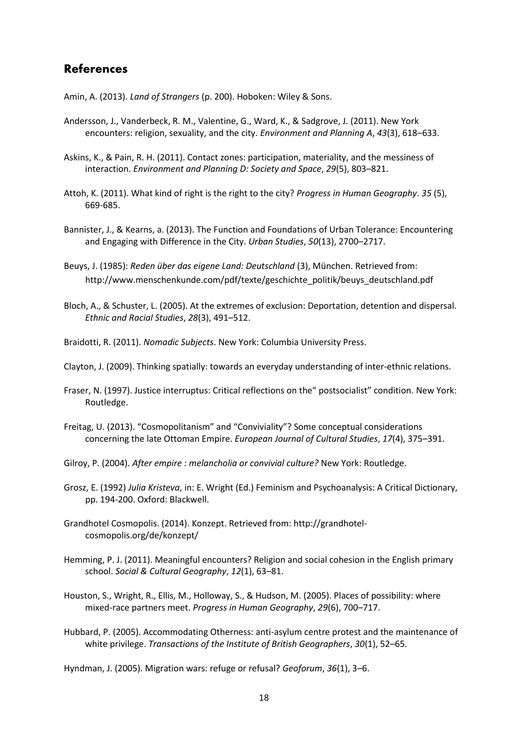# **References**

Amin, A. (2013). *Land of Strangers* (p. 200). Hoboken: Wiley & Sons.

- Andersson, J., Vanderbeck, R. M., Valentine, G., Ward, K., & Sadgrove, J. (2011). New York encounters: religion, sexuality, and the city. *Environment and Planning A*, *43*(3), 618–633.
- Askins, K., & Pain, R. H. (2011). Contact zones: participation, materiality, and the messiness of interaction. *Environment and Planning D: Society and Space*, *29*(5), 803–821.
- Attoh, K. (2011). What kind of right is the right to the city? *Progress in Human Geography*. *35* (5), 669-685.
- Bannister, J., & Kearns, a. (2013). The Function and Foundations of Urban Tolerance: Encountering and Engaging with Difference in the City. *Urban Studies*, *50*(13), 2700–2717.
- Beuys, J. (1985): *Reden über das eigene Land: Deutschland* (3), München. Retrieved from: http://www.menschenkunde.com/pdf/texte/geschichte\_politik/beuys\_deutschland.pdf
- Bloch, A., & Schuster, L. (2005). At the extremes of exclusion: Deportation, detention and dispersal. *Ethnic and Racial Studies*, *28*(3), 491–512.
- Braidotti, R. (2011). *Nomadic Subjects*. New York: Columbia University Press.
- Clayton, J. (2009). Thinking spatially: towards an everyday understanding of inter-ethnic relations.
- Fraser, N. (1997). Justice interruptus: Critical reflections on the" postsocialist" condition. New York: Routledge.
- Freitag, U. (2013). "Cosmopolitanism" and "Conviviality"? Some conceptual considerations concerning the late Ottoman Empire. *European Journal of Cultural Studies*, *17*(4), 375–391.
- Gilroy, P. (2004). *After empire : melancholia or convivial culture?* New York: Routledge.
- Grosz, E. (1992) *Julia Kristeva*, in: E. Wright (Ed.) Feminism and Psychoanalysis: A Critical Dictionary, pp. 194-200. Oxford: Blackwell.
- Grandhotel Cosmopolis. (2014). Konzept. Retrieved from: http://grandhotelcosmopolis.org/de/konzept/
- Hemming, P. J. (2011). Meaningful encounters? Religion and social cohesion in the English primary school. *Social & Cultural Geography*, *12*(1), 63–81.
- Houston, S., Wright, R., Ellis, M., Holloway, S., & Hudson, M. (2005). Places of possibility: where mixed-race partners meet. *Progress in Human Geography*, *29*(6), 700–717.
- Hubbard, P. (2005). Accommodating Otherness: anti-asylum centre protest and the maintenance of white privilege. *Transactions of the Institute of British Geographers*, *30*(1), 52–65.

Hyndman, J. (2005). Migration wars: refuge or refusal? *Geoforum*, *36*(1), 3–6.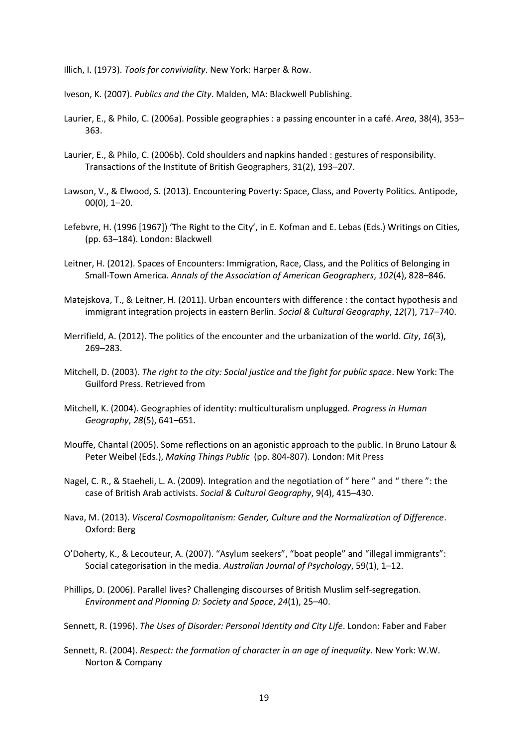Illich, I. (1973). *Tools for conviviality*. New York: Harper & Row.

Iveson, K. (2007). *Publics and the City*. Malden, MA: Blackwell Publishing.

- Laurier, E., & Philo, C. (2006a). Possible geographies : a passing encounter in a café. *Area*, 38(4), 353– 363.
- Laurier, E., & Philo, C. (2006b). Cold shoulders and napkins handed : gestures of responsibility. Transactions of the Institute of British Geographers, 31(2), 193–207.
- Lawson, V., & Elwood, S. (2013). Encountering Poverty: Space, Class, and Poverty Politics. Antipode, 00(0), 1–20.
- Lefebvre, H. (1996 [1967]) 'The Right to the City', in E. Kofman and E. Lebas (Eds.) Writings on Cities, (pp. 63–184). London: Blackwell
- Leitner, H. (2012). Spaces of Encounters: Immigration, Race, Class, and the Politics of Belonging in Small-Town America. *Annals of the Association of American Geographers*, *102*(4), 828–846.
- Matejskova, T., & Leitner, H. (2011). Urban encounters with difference : the contact hypothesis and immigrant integration projects in eastern Berlin. *Social & Cultural Geography*, *12*(7), 717–740.
- Merrifield, A. (2012). The politics of the encounter and the urbanization of the world. *City*, *16*(3), 269–283.
- Mitchell, D. (2003). *The right to the city: Social justice and the fight for public space*. New York: The Guilford Press. Retrieved from
- Mitchell, K. (2004). Geographies of identity: multiculturalism unplugged. *Progress in Human Geography*, *28*(5), 641–651.
- Mouffe, Chantal (2005). Some reflections on an agonistic approach to the public. In Bruno Latour & Peter Weibel (Eds.), *Making Things Public* (pp. 804-807). London: Mit Press
- Nagel, C. R., & Staeheli, L. A. (2009). Integration and the negotiation of " here " and " there ": the case of British Arab activists. *Social & Cultural Geography*, 9(4), 415–430.
- Nava, M. (2013). *Visceral Cosmopolitanism: Gender, Culture and the Normalization of Difference*. Oxford: Berg
- O'Doherty, K., & Lecouteur, A. (2007). "Asylum seekers", "boat people" and "illegal immigrants": Social categorisation in the media. *Australian Journal of Psychology*, 59(1), 1–12.
- Phillips, D. (2006). Parallel lives? Challenging discourses of British Muslim self-segregation. *Environment and Planning D: Society and Space*, *24*(1), 25–40.
- Sennett, R. (1996). *The Uses of Disorder: Personal Identity and City Life*. London: Faber and Faber
- Sennett, R. (2004). *Respect: the formation of character in an age of inequality*. New York: W.W. Norton & Company